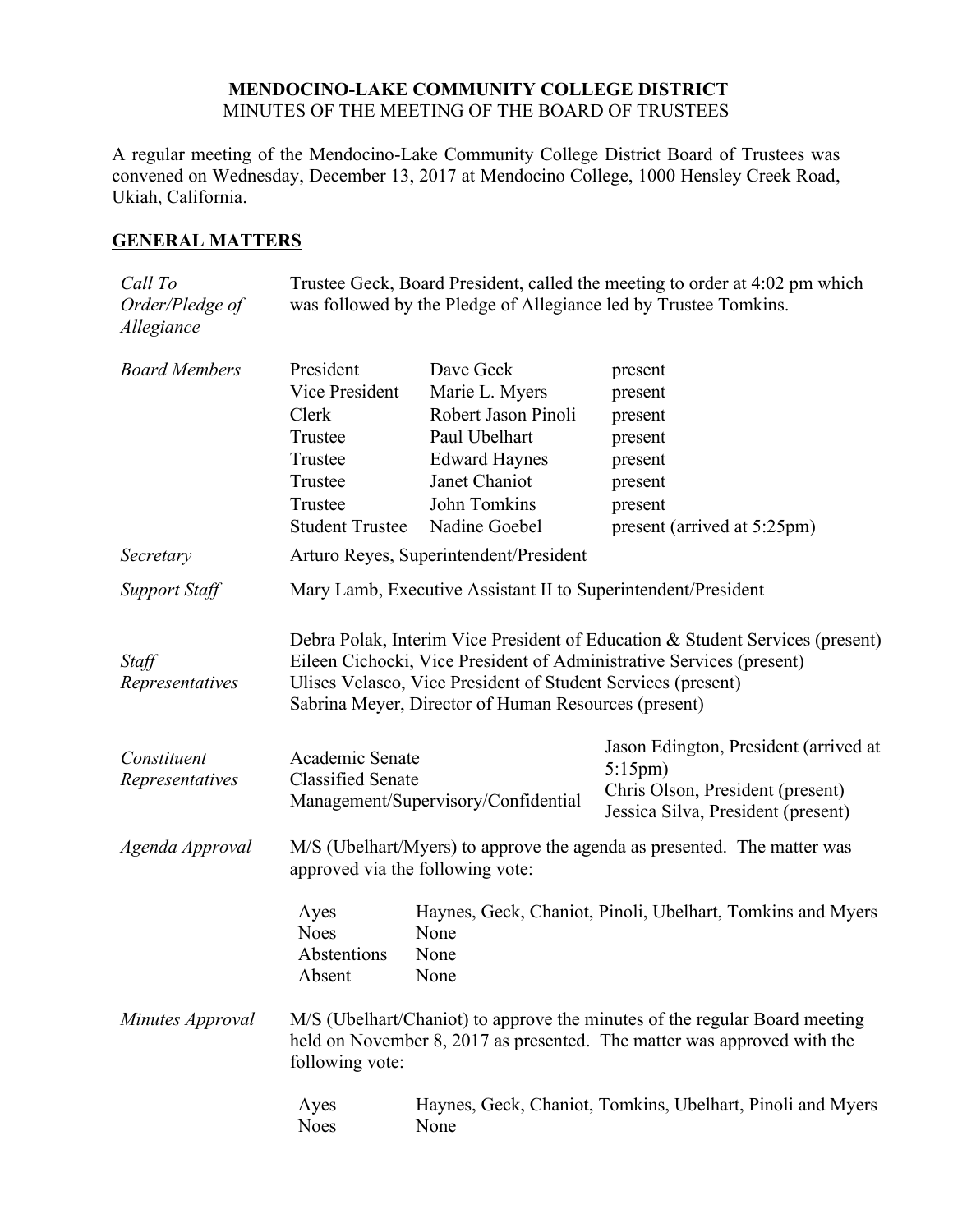## **MENDOCINO-LAKE COMMUNITY COLLEGE DISTRICT** MINUTES OF THE MEETING OF THE BOARD OF TRUSTEES

A regular meeting of the Mendocino-Lake Community College District Board of Trustees was convened on Wednesday, December 13, 2017 at Mendocino College, 1000 Hensley Creek Road, Ukiah, California.

# **GENERAL MATTERS**

| Call To<br>Order/Pledge of<br>Allegiance | Trustee Geck, Board President, called the meeting to order at 4:02 pm which<br>was followed by the Pledge of Allegiance led by Trustee Tomkins.                                                                                                                               |                                     |                                                                        |
|------------------------------------------|-------------------------------------------------------------------------------------------------------------------------------------------------------------------------------------------------------------------------------------------------------------------------------|-------------------------------------|------------------------------------------------------------------------|
| <b>Board Members</b>                     | President                                                                                                                                                                                                                                                                     | Dave Geck                           | present                                                                |
|                                          | Vice President                                                                                                                                                                                                                                                                | Marie L. Myers                      | present                                                                |
|                                          | Clerk                                                                                                                                                                                                                                                                         | Robert Jason Pinoli                 | present                                                                |
|                                          | Trustee                                                                                                                                                                                                                                                                       | Paul Ubelhart                       | present                                                                |
|                                          | Trustee                                                                                                                                                                                                                                                                       | <b>Edward Haynes</b>                | present                                                                |
|                                          | Trustee                                                                                                                                                                                                                                                                       | Janet Chaniot                       | present                                                                |
|                                          | Trustee                                                                                                                                                                                                                                                                       | John Tomkins                        | present                                                                |
|                                          | <b>Student Trustee</b>                                                                                                                                                                                                                                                        | Nadine Goebel                       | present (arrived at 5:25pm)                                            |
| Secretary                                | Arturo Reyes, Superintendent/President                                                                                                                                                                                                                                        |                                     |                                                                        |
| <b>Support Staff</b>                     | Mary Lamb, Executive Assistant II to Superintendent/President                                                                                                                                                                                                                 |                                     |                                                                        |
| Staff<br>Representatives                 | Debra Polak, Interim Vice President of Education & Student Services (present)<br>Eileen Cichocki, Vice President of Administrative Services (present)<br>Ulises Velasco, Vice President of Student Services (present)<br>Sabrina Meyer, Director of Human Resources (present) |                                     |                                                                        |
| Constituent                              | Academic Senate                                                                                                                                                                                                                                                               |                                     | Jason Edington, President (arrived at<br>$5:15 \text{pm}$              |
| Representatives                          | <b>Classified Senate</b>                                                                                                                                                                                                                                                      | Management/Supervisory/Confidential | Chris Olson, President (present)<br>Jessica Silva, President (present) |
| Agenda Approval                          | M/S (Ubelhart/Myers) to approve the agenda as presented. The matter was<br>approved via the following vote:                                                                                                                                                                   |                                     |                                                                        |
|                                          | Ayes<br><b>Noes</b><br>Abstentions<br>Absent                                                                                                                                                                                                                                  | None<br>None<br>None                | Haynes, Geck, Chaniot, Pinoli, Ubelhart, Tomkins and Myers             |
| Minutes Approval                         | M/S (Ubelhart/Chaniot) to approve the minutes of the regular Board meeting<br>held on November 8, 2017 as presented. The matter was approved with the<br>following vote:                                                                                                      |                                     |                                                                        |
|                                          | Ayes<br><b>Noes</b>                                                                                                                                                                                                                                                           | None                                | Haynes, Geck, Chaniot, Tomkins, Ubelhart, Pinoli and Myers             |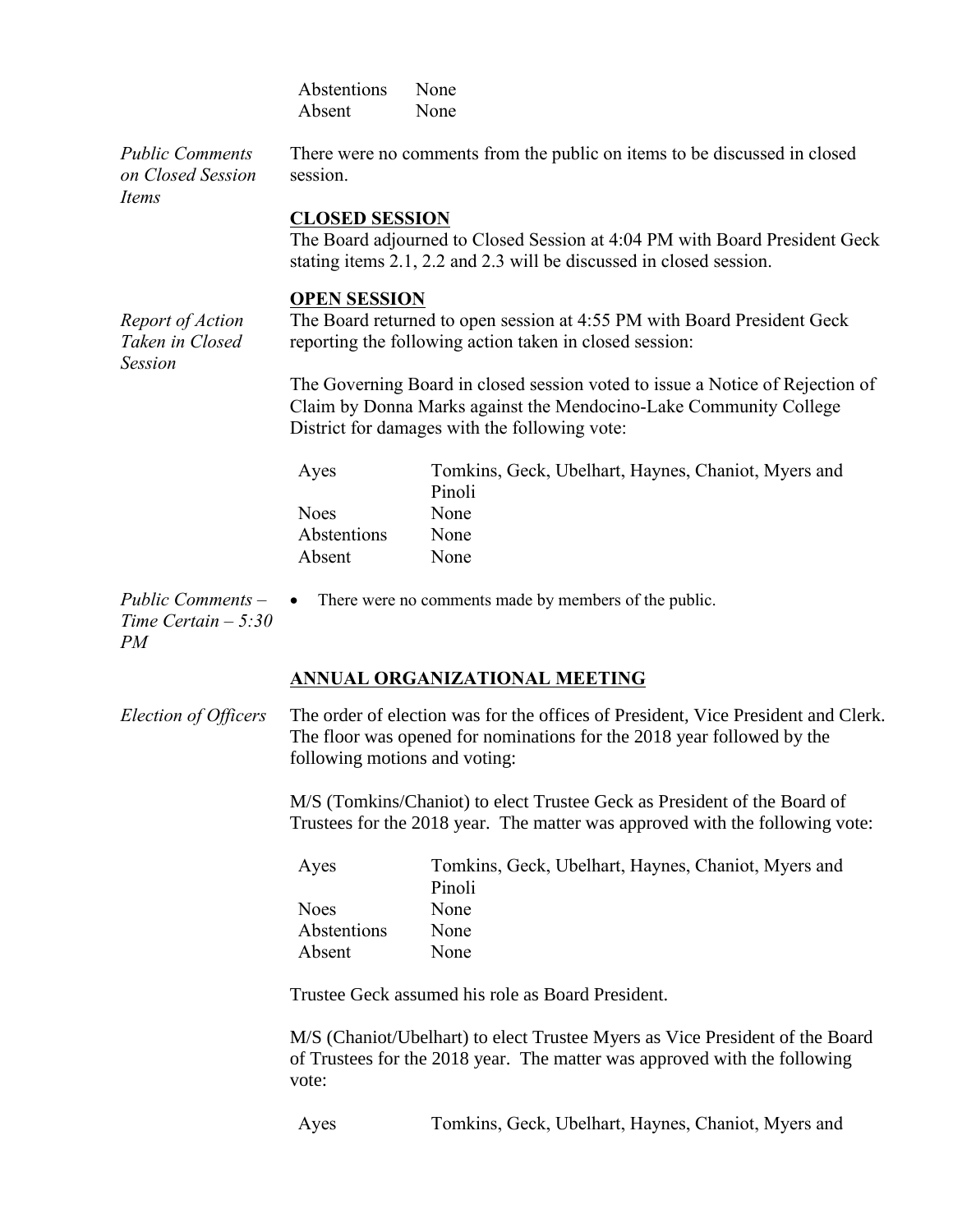|                                                       | Abstentions<br>Absent                                                                                                                                                                               | None<br>None                                                                                                                                             |  |
|-------------------------------------------------------|-----------------------------------------------------------------------------------------------------------------------------------------------------------------------------------------------------|----------------------------------------------------------------------------------------------------------------------------------------------------------|--|
| <b>Public Comments</b><br>on Closed Session<br>Items  | session.                                                                                                                                                                                            | There were no comments from the public on items to be discussed in closed                                                                                |  |
|                                                       | <b>CLOSED SESSION</b>                                                                                                                                                                               | The Board adjourned to Closed Session at 4:04 PM with Board President Geck<br>stating items 2.1, 2.2 and 2.3 will be discussed in closed session.        |  |
| Report of Action<br>Taken in Closed<br><b>Session</b> | <b>OPEN SESSION</b>                                                                                                                                                                                 | The Board returned to open session at 4:55 PM with Board President Geck<br>reporting the following action taken in closed session:                       |  |
|                                                       | The Governing Board in closed session voted to issue a Notice of Rejection of<br>Claim by Donna Marks against the Mendocino-Lake Community College<br>District for damages with the following vote: |                                                                                                                                                          |  |
|                                                       | Ayes                                                                                                                                                                                                | Tomkins, Geck, Ubelhart, Haynes, Chaniot, Myers and<br>Pinoli                                                                                            |  |
|                                                       | <b>Noes</b>                                                                                                                                                                                         | None                                                                                                                                                     |  |
|                                                       | Abstentions                                                                                                                                                                                         | None                                                                                                                                                     |  |
|                                                       | Absent                                                                                                                                                                                              | None                                                                                                                                                     |  |
| Public Comments $-$<br>Time Certain $-5:30$<br>PM     |                                                                                                                                                                                                     | • There were no comments made by members of the public.                                                                                                  |  |
|                                                       |                                                                                                                                                                                                     | ANNUAL ORGANIZATIONAL MEETING                                                                                                                            |  |
| Election of Officers                                  | The order of election was for the offices of President, Vice President and Clerk.<br>The floor was opened for nominations for the 2018 year followed by the<br>following motions and voting:        |                                                                                                                                                          |  |
|                                                       |                                                                                                                                                                                                     | M/S (Tomkins/Chaniot) to elect Trustee Geck as President of the Board of<br>Trustees for the 2018 year. The matter was approved with the following vote: |  |

| Ayes        | Tomkins, Geck, Ubelhart, Haynes, Chaniot, Myers and |
|-------------|-----------------------------------------------------|
|             | Pinoli                                              |
| <b>Noes</b> | None                                                |
| Abstentions | None                                                |
| Absent      | None                                                |

Trustee Geck assumed his role as Board President.

M/S (Chaniot/Ubelhart) to elect Trustee Myers as Vice President of the Board of Trustees for the 2018 year. The matter was approved with the following vote:

Ayes Tomkins, Geck, Ubelhart, Haynes, Chaniot, Myers and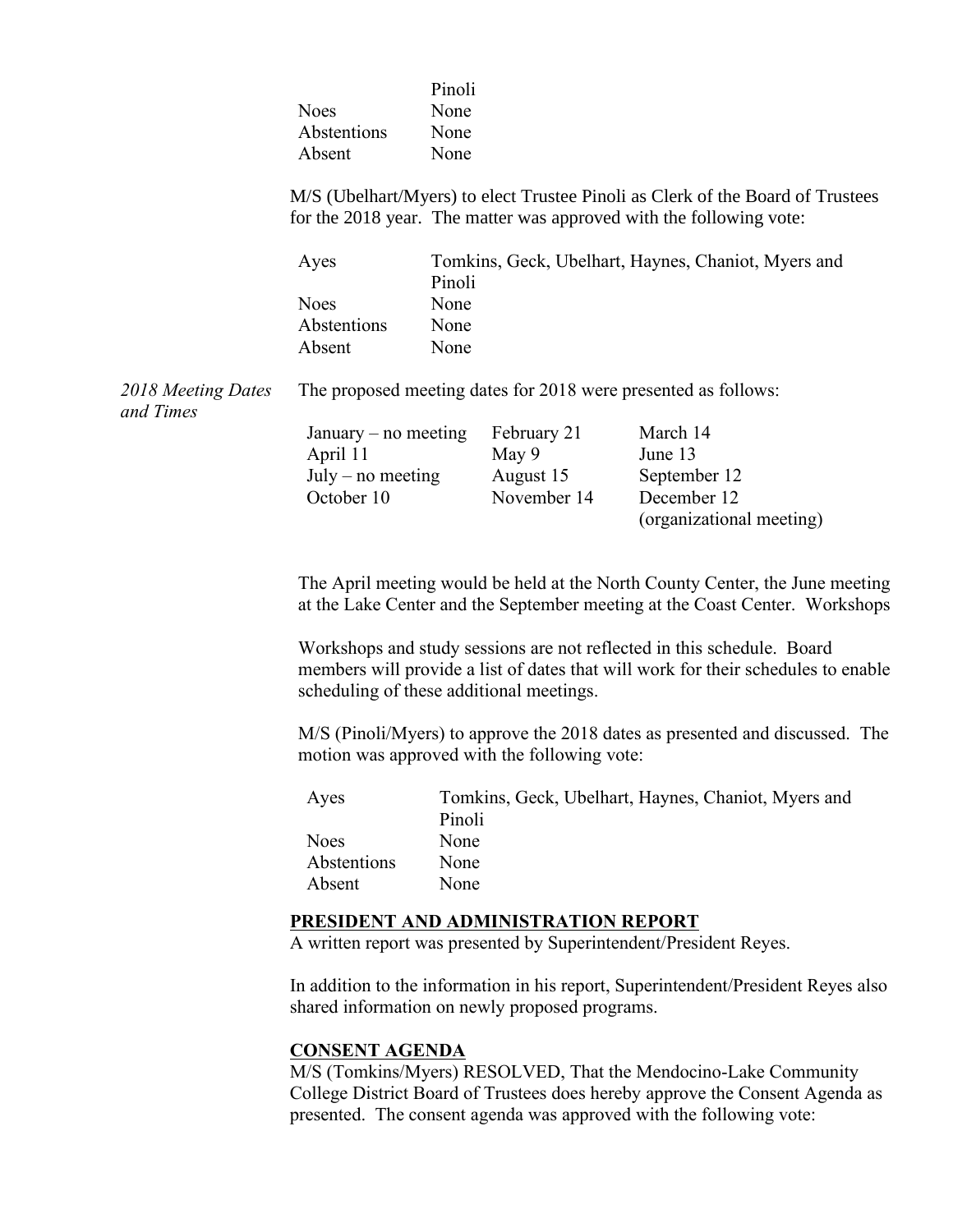|                                 | <b>Noes</b><br>Abstentions<br>Absent                                                                                                                  | Pinoli<br>None<br>None<br>None                                |                                          |                                                                                                                                                                                                                                                                                                                            |  |
|---------------------------------|-------------------------------------------------------------------------------------------------------------------------------------------------------|---------------------------------------------------------------|------------------------------------------|----------------------------------------------------------------------------------------------------------------------------------------------------------------------------------------------------------------------------------------------------------------------------------------------------------------------------|--|
|                                 | M/S (Ubelhart/Myers) to elect Trustee Pinoli as Clerk of the Board of Trustees<br>for the 2018 year. The matter was approved with the following vote: |                                                               |                                          |                                                                                                                                                                                                                                                                                                                            |  |
|                                 | Ayes                                                                                                                                                  | Pinoli                                                        |                                          | Tomkins, Geck, Ubelhart, Haynes, Chaniot, Myers and                                                                                                                                                                                                                                                                        |  |
|                                 | <b>Noes</b>                                                                                                                                           | None                                                          |                                          |                                                                                                                                                                                                                                                                                                                            |  |
|                                 | Abstentions                                                                                                                                           | None                                                          |                                          |                                                                                                                                                                                                                                                                                                                            |  |
|                                 | Absent                                                                                                                                                | None                                                          |                                          |                                                                                                                                                                                                                                                                                                                            |  |
| 2018 Meeting Dates<br>and Times | The proposed meeting dates for 2018 were presented as follows:                                                                                        |                                                               |                                          |                                                                                                                                                                                                                                                                                                                            |  |
|                                 | January – no meeting                                                                                                                                  |                                                               | February 21                              | March 14                                                                                                                                                                                                                                                                                                                   |  |
|                                 | April 11                                                                                                                                              |                                                               | May 9                                    | June 13                                                                                                                                                                                                                                                                                                                    |  |
|                                 | $July - no meeting$                                                                                                                                   |                                                               | August 15                                | September 12                                                                                                                                                                                                                                                                                                               |  |
|                                 | October 10                                                                                                                                            |                                                               | November 14                              | December 12                                                                                                                                                                                                                                                                                                                |  |
|                                 |                                                                                                                                                       |                                                               |                                          |                                                                                                                                                                                                                                                                                                                            |  |
|                                 |                                                                                                                                                       |                                                               |                                          | (organizational meeting)                                                                                                                                                                                                                                                                                                   |  |
|                                 |                                                                                                                                                       |                                                               | scheduling of these additional meetings. | The April meeting would be held at the North County Center, the June meeting<br>at the Lake Center and the September meeting at the Coast Center. Workshops<br>Workshops and study sessions are not reflected in this schedule. Board<br>members will provide a list of dates that will work for their schedules to enable |  |
|                                 | M/S (Pinoli/Myers) to approve the 2018 dates as presented and discussed. The<br>motion was approved with the following vote:                          |                                                               |                                          |                                                                                                                                                                                                                                                                                                                            |  |
|                                 | Ayes                                                                                                                                                  | Tomkins, Geck, Ubelhart, Haynes, Chaniot, Myers and<br>Pinoli |                                          |                                                                                                                                                                                                                                                                                                                            |  |
|                                 | <b>Noes</b>                                                                                                                                           | None                                                          |                                          |                                                                                                                                                                                                                                                                                                                            |  |
|                                 | Abstentions                                                                                                                                           | None                                                          |                                          |                                                                                                                                                                                                                                                                                                                            |  |
|                                 |                                                                                                                                                       |                                                               |                                          |                                                                                                                                                                                                                                                                                                                            |  |
|                                 | Absent                                                                                                                                                | None                                                          |                                          |                                                                                                                                                                                                                                                                                                                            |  |
|                                 | PRESIDENT AND ADMINISTRATION REPORT<br>A written report was presented by Superintendent/President Reyes.                                              |                                                               |                                          |                                                                                                                                                                                                                                                                                                                            |  |
|                                 | In addition to the information in his report, Superintendent/President Reyes also<br>shared information on newly proposed programs.                   |                                                               |                                          |                                                                                                                                                                                                                                                                                                                            |  |
|                                 | <b>CONSENT AGENDA</b>                                                                                                                                 |                                                               |                                          | M/S (Tomkins/Myers) RESOLVED, That the Mendocino-Lake Community                                                                                                                                                                                                                                                            |  |

College District Board of Trustees does hereby approve the Consent Agenda as presented. The consent agenda was approved with the following vote: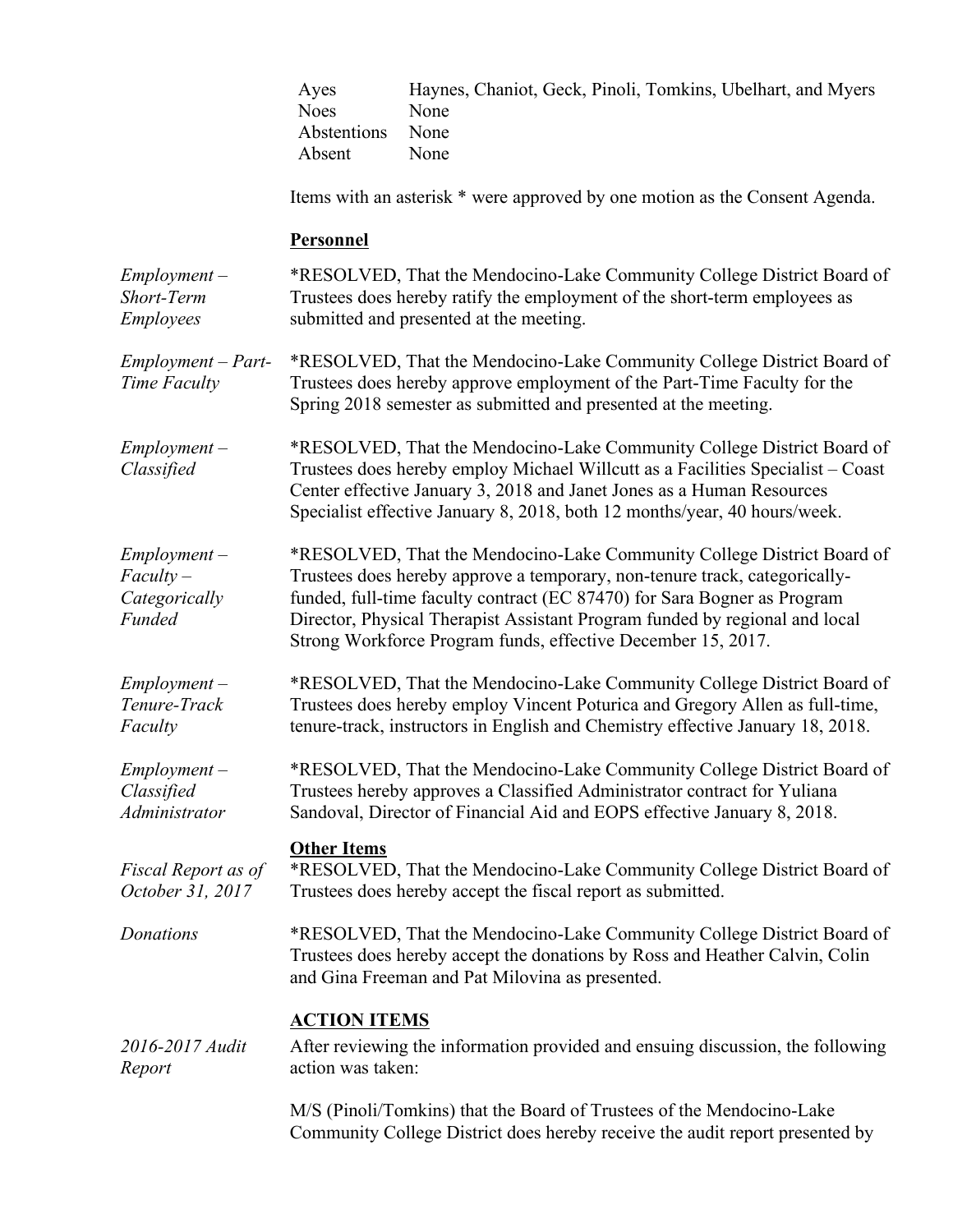|                                                          | Ayes<br><b>Noes</b><br>Abstentions<br>Absent                                                                                                                                                                                                                                                                                                                                    | Haynes, Chaniot, Geck, Pinoli, Tomkins, Ubelhart, and Myers<br>None<br>None<br>None                                                                                                                                                      |  |
|----------------------------------------------------------|---------------------------------------------------------------------------------------------------------------------------------------------------------------------------------------------------------------------------------------------------------------------------------------------------------------------------------------------------------------------------------|------------------------------------------------------------------------------------------------------------------------------------------------------------------------------------------------------------------------------------------|--|
|                                                          |                                                                                                                                                                                                                                                                                                                                                                                 | Items with an asterisk * were approved by one motion as the Consent Agenda.                                                                                                                                                              |  |
|                                                          | Personnel                                                                                                                                                                                                                                                                                                                                                                       |                                                                                                                                                                                                                                          |  |
| $Employment -$<br><b>Short-Term</b><br><b>Employees</b>  |                                                                                                                                                                                                                                                                                                                                                                                 | *RESOLVED, That the Mendocino-Lake Community College District Board of<br>Trustees does hereby ratify the employment of the short-term employees as<br>submitted and presented at the meeting.                                           |  |
| $Employment - Part-$<br>Time Faculty                     | *RESOLVED, That the Mendocino-Lake Community College District Board of<br>Trustees does hereby approve employment of the Part-Time Faculty for the<br>Spring 2018 semester as submitted and presented at the meeting.                                                                                                                                                           |                                                                                                                                                                                                                                          |  |
| $Employment -$<br>Classified                             | *RESOLVED, That the Mendocino-Lake Community College District Board of<br>Trustees does hereby employ Michael Willcutt as a Facilities Specialist – Coast<br>Center effective January 3, 2018 and Janet Jones as a Human Resources<br>Specialist effective January 8, 2018, both 12 months/year, 40 hours/week.                                                                 |                                                                                                                                                                                                                                          |  |
| $Employment -$<br>$Faculty -$<br>Categorically<br>Funded | *RESOLVED, That the Mendocino-Lake Community College District Board of<br>Trustees does hereby approve a temporary, non-tenure track, categorically-<br>funded, full-time faculty contract (EC 87470) for Sara Bogner as Program<br>Director, Physical Therapist Assistant Program funded by regional and local<br>Strong Workforce Program funds, effective December 15, 2017. |                                                                                                                                                                                                                                          |  |
| $Employment -$<br>Tenure-Track<br>Faculty                |                                                                                                                                                                                                                                                                                                                                                                                 | *RESOLVED, That the Mendocino-Lake Community College District Board of<br>Trustees does hereby employ Vincent Poturica and Gregory Allen as full-time,<br>tenure-track, instructors in English and Chemistry effective January 18, 2018. |  |
| $Employment -$<br>Classified<br>Administrator            |                                                                                                                                                                                                                                                                                                                                                                                 | *RESOLVED, That the Mendocino-Lake Community College District Board of<br>Trustees hereby approves a Classified Administrator contract for Yuliana<br>Sandoval, Director of Financial Aid and EOPS effective January 8, 2018.            |  |
| Fiscal Report as of<br>October 31, 2017                  | <b>Other Items</b>                                                                                                                                                                                                                                                                                                                                                              | *RESOLVED, That the Mendocino-Lake Community College District Board of<br>Trustees does hereby accept the fiscal report as submitted.                                                                                                    |  |
| Donations                                                |                                                                                                                                                                                                                                                                                                                                                                                 | *RESOLVED, That the Mendocino-Lake Community College District Board of<br>Trustees does hereby accept the donations by Ross and Heather Calvin, Colin<br>and Gina Freeman and Pat Milovina as presented.                                 |  |
| 2016-2017 Audit<br>Report                                | <b>ACTION ITEMS</b><br>action was taken:                                                                                                                                                                                                                                                                                                                                        | After reviewing the information provided and ensuing discussion, the following                                                                                                                                                           |  |
|                                                          |                                                                                                                                                                                                                                                                                                                                                                                 | M/S (Pinoli/Tomkins) that the Board of Trustees of the Mendocino-Lake<br>Community College District does hereby receive the audit report presented by                                                                                    |  |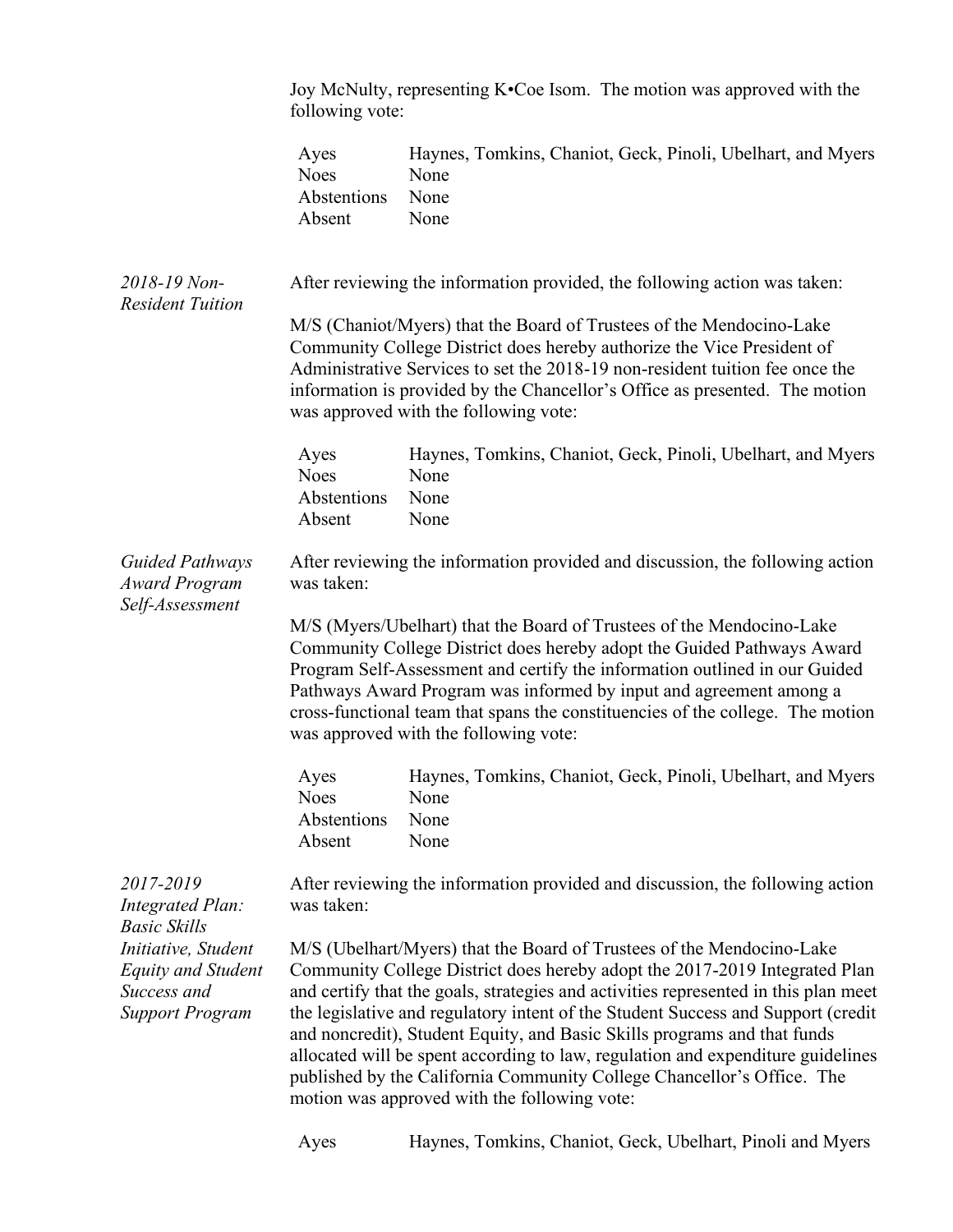|                                                                                                                  | Joy McNulty, representing K•Coe Isom. The motion was approved with the<br>following vote:                                                                                                                                                                                                                                                                                                                                                                                                                                                                                                                               |                                                                                                                                                                                                                                                                                                                                                                                                                                |  |
|------------------------------------------------------------------------------------------------------------------|-------------------------------------------------------------------------------------------------------------------------------------------------------------------------------------------------------------------------------------------------------------------------------------------------------------------------------------------------------------------------------------------------------------------------------------------------------------------------------------------------------------------------------------------------------------------------------------------------------------------------|--------------------------------------------------------------------------------------------------------------------------------------------------------------------------------------------------------------------------------------------------------------------------------------------------------------------------------------------------------------------------------------------------------------------------------|--|
|                                                                                                                  | Ayes<br><b>Noes</b><br>Abstentions<br>Absent                                                                                                                                                                                                                                                                                                                                                                                                                                                                                                                                                                            | Haynes, Tomkins, Chaniot, Geck, Pinoli, Ubelhart, and Myers<br>None<br>None<br>None                                                                                                                                                                                                                                                                                                                                            |  |
| 2018-19 Non-<br><b>Resident Tuition</b>                                                                          |                                                                                                                                                                                                                                                                                                                                                                                                                                                                                                                                                                                                                         | After reviewing the information provided, the following action was taken:                                                                                                                                                                                                                                                                                                                                                      |  |
|                                                                                                                  |                                                                                                                                                                                                                                                                                                                                                                                                                                                                                                                                                                                                                         | M/S (Chaniot/Myers) that the Board of Trustees of the Mendocino-Lake<br>Community College District does hereby authorize the Vice President of<br>Administrative Services to set the 2018-19 non-resident tuition fee once the<br>information is provided by the Chancellor's Office as presented. The motion<br>was approved with the following vote:                                                                         |  |
|                                                                                                                  | Ayes<br><b>Noes</b><br>Abstentions<br>Absent                                                                                                                                                                                                                                                                                                                                                                                                                                                                                                                                                                            | Haynes, Tomkins, Chaniot, Geck, Pinoli, Ubelhart, and Myers<br>None<br>None<br>None                                                                                                                                                                                                                                                                                                                                            |  |
| <b>Guided Pathways</b><br><b>Award Program</b><br>Self-Assessment                                                | was taken:                                                                                                                                                                                                                                                                                                                                                                                                                                                                                                                                                                                                              | After reviewing the information provided and discussion, the following action                                                                                                                                                                                                                                                                                                                                                  |  |
|                                                                                                                  |                                                                                                                                                                                                                                                                                                                                                                                                                                                                                                                                                                                                                         | M/S (Myers/Ubelhart) that the Board of Trustees of the Mendocino-Lake<br>Community College District does hereby adopt the Guided Pathways Award<br>Program Self-Assessment and certify the information outlined in our Guided<br>Pathways Award Program was informed by input and agreement among a<br>cross-functional team that spans the constituencies of the college. The motion<br>was approved with the following vote: |  |
|                                                                                                                  | Ayes<br><b>Noes</b><br>Abstentions<br>Absent                                                                                                                                                                                                                                                                                                                                                                                                                                                                                                                                                                            | Haynes, Tomkins, Chaniot, Geck, Pinoli, Ubelhart, and Myers<br>None<br>None<br>None                                                                                                                                                                                                                                                                                                                                            |  |
| 2017-2019<br>Integrated Plan:                                                                                    | was taken:                                                                                                                                                                                                                                                                                                                                                                                                                                                                                                                                                                                                              | After reviewing the information provided and discussion, the following action                                                                                                                                                                                                                                                                                                                                                  |  |
| <b>Basic Skills</b><br>Initiative, Student<br><b>Equity and Student</b><br>Success and<br><b>Support Program</b> | M/S (Ubelhart/Myers) that the Board of Trustees of the Mendocino-Lake<br>Community College District does hereby adopt the 2017-2019 Integrated Plan<br>and certify that the goals, strategies and activities represented in this plan meet<br>the legislative and regulatory intent of the Student Success and Support (credit<br>and noncredit), Student Equity, and Basic Skills programs and that funds<br>allocated will be spent according to law, regulation and expenditure guidelines<br>published by the California Community College Chancellor's Office. The<br>motion was approved with the following vote: |                                                                                                                                                                                                                                                                                                                                                                                                                                |  |

Ayes Haynes, Tomkins, Chaniot, Geck, Ubelhart, Pinoli and Myers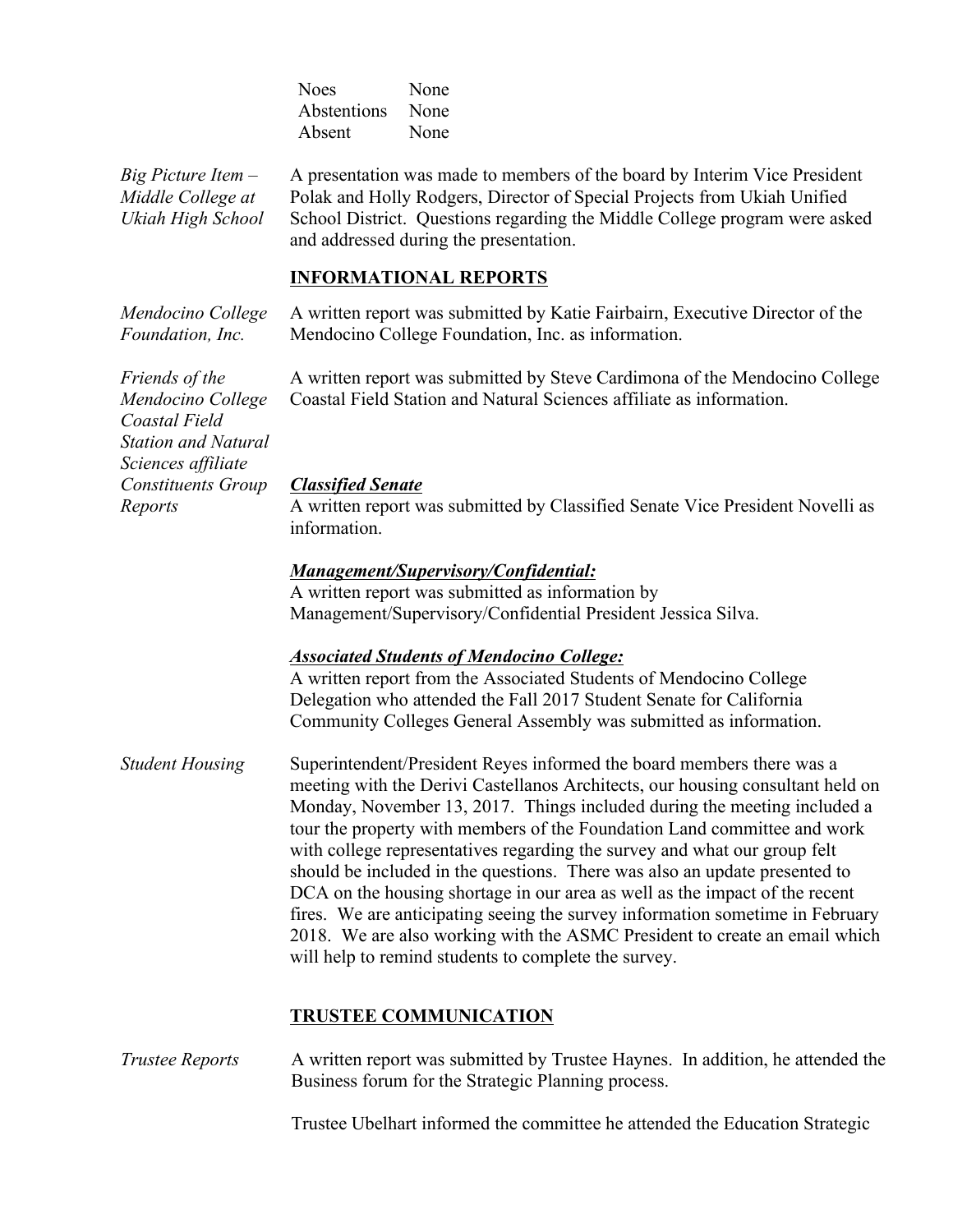Noes None Abstentions None Absent None

*Big Picture Item – Middle College at Ukiah High School*

A presentation was made to members of the board by Interim Vice President Polak and Holly Rodgers, Director of Special Projects from Ukiah Unified School District. Questions regarding the Middle College program were asked and addressed during the presentation.

### **INFORMATIONAL REPORTS**

*Mendocino College Foundation, Inc.* A written report was submitted by Katie Fairbairn, Executive Director of the Mendocino College Foundation, Inc. as information.

> A written report was submitted by Steve Cardimona of the Mendocino College Coastal Field Station and Natural Sciences affiliate as information.

*Classified Senate*

A written report was submitted by Classified Senate Vice President Novelli as information.

#### *Management/Supervisory/Confidential:*

A written report was submitted as information by Management/Supervisory/Confidential President Jessica Silva.

#### *Associated Students of Mendocino College:*

A written report from the Associated Students of Mendocino College Delegation who attended the Fall 2017 Student Senate for California Community Colleges General Assembly was submitted as information.

*Student Housing* Superintendent/President Reyes informed the board members there was a meeting with the Derivi Castellanos Architects, our housing consultant held on Monday, November 13, 2017. Things included during the meeting included a tour the property with members of the Foundation Land committee and work with college representatives regarding the survey and what our group felt should be included in the questions. There was also an update presented to DCA on the housing shortage in our area as well as the impact of the recent fires. We are anticipating seeing the survey information sometime in February 2018. We are also working with the ASMC President to create an email which will help to remind students to complete the survey.

#### **TRUSTEE COMMUNICATION**

*Trustee Reports* A written report was submitted by Trustee Haynes. In addition, he attended the Business forum for the Strategic Planning process.

Trustee Ubelhart informed the committee he attended the Education Strategic

*Friends of the Mendocino College Coastal Field Station and Natural Sciences affiliate Constituents Group Reports*